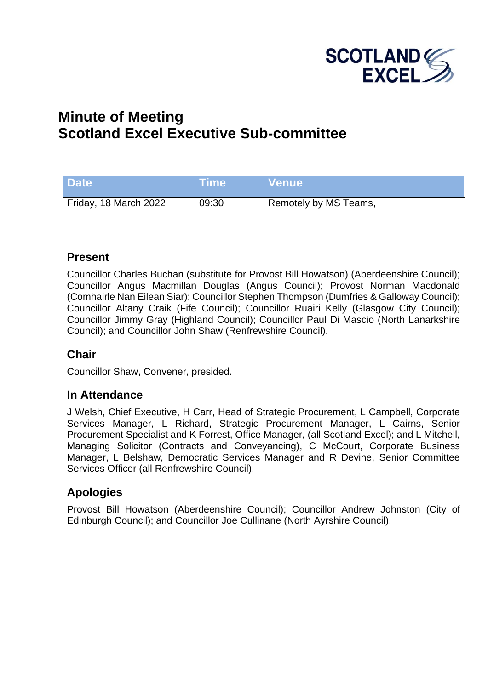

# **Minute of Meeting Scotland Excel Executive Sub-committee**

| <b>Date</b>           | Time  | <b>Venue</b>          |
|-----------------------|-------|-----------------------|
| Friday, 18 March 2022 | 09:30 | Remotely by MS Teams, |

#### **Present**

Councillor Charles Buchan (substitute for Provost Bill Howatson) (Aberdeenshire Council); Councillor Angus Macmillan Douglas (Angus Council); Provost Norman Macdonald (Comhairle Nan Eilean Siar); Councillor Stephen Thompson (Dumfries & Galloway Council); Councillor Altany Craik (Fife Council); Councillor Ruairi Kelly (Glasgow City Council); Councillor Jimmy Gray (Highland Council); Councillor Paul Di Mascio (North Lanarkshire Council); and Councillor John Shaw (Renfrewshire Council).

# **Chair**

Councillor Shaw, Convener, presided.

#### **In Attendance**

J Welsh, Chief Executive, H Carr, Head of Strategic Procurement, L Campbell, Corporate Services Manager, L Richard, Strategic Procurement Manager, L Cairns, Senior Procurement Specialist and K Forrest, Office Manager, (all Scotland Excel); and L Mitchell, Managing Solicitor (Contracts and Conveyancing), C McCourt, Corporate Business Manager, L Belshaw, Democratic Services Manager and R Devine, Senior Committee Services Officer (all Renfrewshire Council).

# **Apologies**

Provost Bill Howatson (Aberdeenshire Council); Councillor Andrew Johnston (City of Edinburgh Council); and Councillor Joe Cullinane (North Ayrshire Council).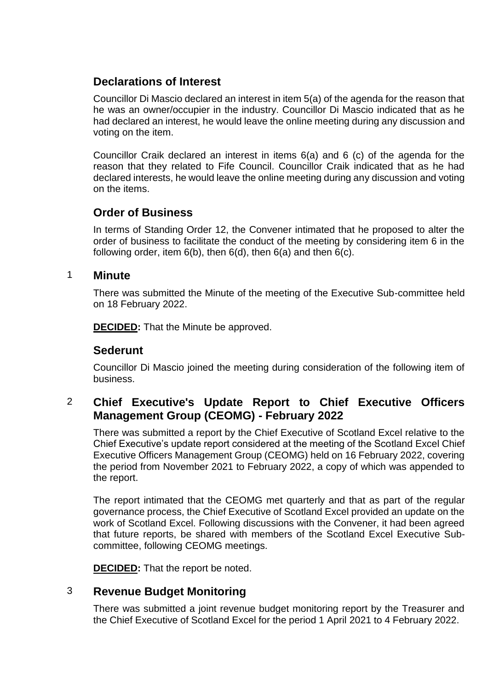# **Declarations of Interest**

Councillor Di Mascio declared an interest in item 5(a) of the agenda for the reason that he was an owner/occupier in the industry. Councillor Di Mascio indicated that as he had declared an interest, he would leave the online meeting during any discussion and voting on the item.

Councillor Craik declared an interest in items 6(a) and 6 (c) of the agenda for the reason that they related to Fife Council. Councillor Craik indicated that as he had declared interests, he would leave the online meeting during any discussion and voting on the items.

# **Order of Business**

In terms of Standing Order 12, the Convener intimated that he proposed to alter the order of business to facilitate the conduct of the meeting by considering item 6 in the following order, item  $6(b)$ , then  $6(d)$ , then  $6(a)$  and then  $6(c)$ .

#### 1 **Minute**

There was submitted the Minute of the meeting of the Executive Sub-committee held on 18 February 2022.

**DECIDED:** That the Minute be approved.

# **Sederunt**

Councillor Di Mascio joined the meeting during consideration of the following item of business.

# 2 **Chief Executive's Update Report to Chief Executive Officers Management Group (CEOMG) - February 2022**

There was submitted a report by the Chief Executive of Scotland Excel relative to the Chief Executive's update report considered at the meeting of the Scotland Excel Chief Executive Officers Management Group (CEOMG) held on 16 February 2022, covering the period from November 2021 to February 2022, a copy of which was appended to the report.

The report intimated that the CEOMG met quarterly and that as part of the regular governance process, the Chief Executive of Scotland Excel provided an update on the work of Scotland Excel. Following discussions with the Convener, it had been agreed that future reports, be shared with members of the Scotland Excel Executive Subcommittee, following CEOMG meetings.

**DECIDED:** That the report be noted.

# 3 **Revenue Budget Monitoring**

There was submitted a joint revenue budget monitoring report by the Treasurer and the Chief Executive of Scotland Excel for the period 1 April 2021 to 4 February 2022.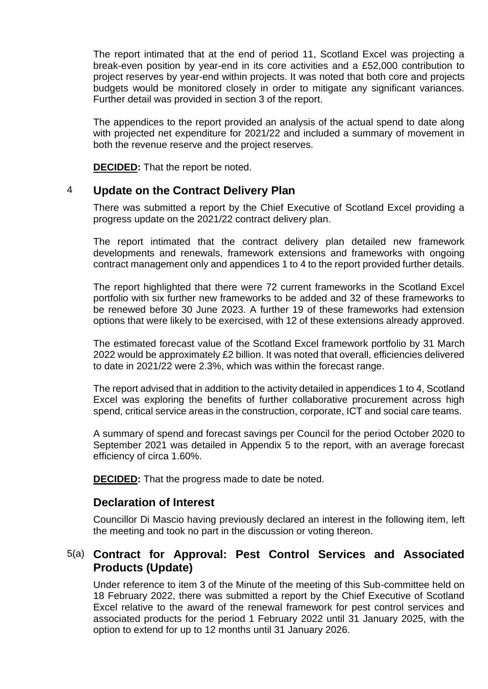The report intimated that at the end of period 11, Scotland Excel was projecting a break-even position by year-end in its core activities and a £52,000 contribution to project reserves by year-end within projects. It was noted that both core and projects budgets would be monitored closely in order to mitigate any significant variances. Further detail was provided in section 3 of the report.

The appendices to the report provided an analysis of the actual spend to date along with projected net expenditure for 2021/22 and included a summary of movement in both the revenue reserve and the project reserves.

**DECIDED:** That the report be noted.

#### 4 **Update on the Contract Delivery Plan**

There was submitted a report by the Chief Executive of Scotland Excel providing a progress update on the 2021/22 contract delivery plan.

The report intimated that the contract delivery plan detailed new framework developments and renewals, framework extensions and frameworks with ongoing contract management only and appendices 1 to 4 to the report provided further details.

The report highlighted that there were 72 current frameworks in the Scotland Excel portfolio with six further new frameworks to be added and 32 of these frameworks to be renewed before 30 June 2023. A further 19 of these frameworks had extension options that were likely to be exercised, with 12 of these extensions already approved.

The estimated forecast value of the Scotland Excel framework portfolio by 31 March 2022 would be approximately £2 billion. It was noted that overall, efficiencies delivered to date in 2021/22 were 2.3%, which was within the forecast range.

The report advised that in addition to the activity detailed in appendices 1 to 4, Scotland Excel was exploring the benefits of further collaborative procurement across high spend, critical service areas in the construction, corporate, ICT and social care teams.

A summary of spend and forecast savings per Council for the period October 2020 to September 2021 was detailed in Appendix 5 to the report, with an average forecast efficiency of circa 1.60%.

**DECIDED:** That the progress made to date be noted.

#### **Declaration of Interest**

Councillor Di Mascio having previously declared an interest in the following item, left the meeting and took no part in the discussion or voting thereon.

# 5(a) **Contract for Approval: Pest Control Services and Associated Products (Update)**

Under reference to item 3 of the Minute of the meeting of this Sub-committee held on 18 February 2022, there was submitted a report by the Chief Executive of Scotland Excel relative to the award of the renewal framework for pest control services and associated products for the period 1 February 2022 until 31 January 2025, with the option to extend for up to 12 months until 31 January 2026.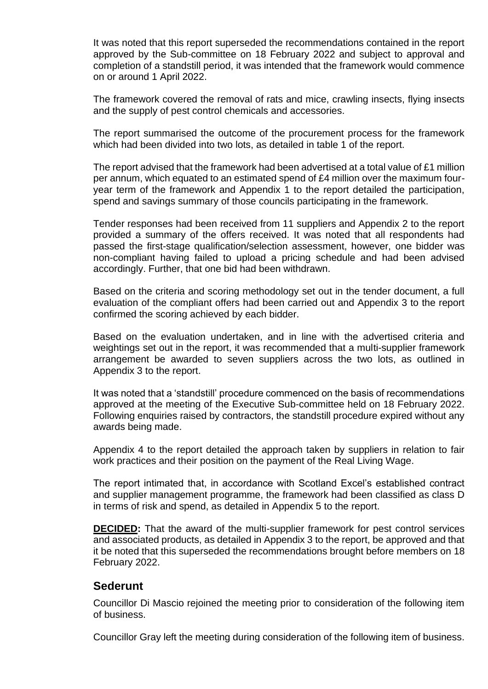It was noted that this report superseded the recommendations contained in the report approved by the Sub-committee on 18 February 2022 and subject to approval and completion of a standstill period, it was intended that the framework would commence on or around 1 April 2022.

The framework covered the removal of rats and mice, crawling insects, flying insects and the supply of pest control chemicals and accessories.

The report summarised the outcome of the procurement process for the framework which had been divided into two lots, as detailed in table 1 of the report.

The report advised that the framework had been advertised at a total value of £1 million per annum, which equated to an estimated spend of £4 million over the maximum fouryear term of the framework and Appendix 1 to the report detailed the participation, spend and savings summary of those councils participating in the framework.

Tender responses had been received from 11 suppliers and Appendix 2 to the report provided a summary of the offers received. It was noted that all respondents had passed the first-stage qualification/selection assessment, however, one bidder was non-compliant having failed to upload a pricing schedule and had been advised accordingly. Further, that one bid had been withdrawn.

Based on the criteria and scoring methodology set out in the tender document, a full evaluation of the compliant offers had been carried out and Appendix 3 to the report confirmed the scoring achieved by each bidder.

Based on the evaluation undertaken, and in line with the advertised criteria and weightings set out in the report, it was recommended that a multi-supplier framework arrangement be awarded to seven suppliers across the two lots, as outlined in Appendix 3 to the report.

It was noted that a 'standstill' procedure commenced on the basis of recommendations approved at the meeting of the Executive Sub-committee held on 18 February 2022. Following enquiries raised by contractors, the standstill procedure expired without any awards being made.

Appendix 4 to the report detailed the approach taken by suppliers in relation to fair work practices and their position on the payment of the Real Living Wage.

The report intimated that, in accordance with Scotland Excel's established contract and supplier management programme, the framework had been classified as class D in terms of risk and spend, as detailed in Appendix 5 to the report.

**DECIDED:** That the award of the multi-supplier framework for pest control services and associated products, as detailed in Appendix 3 to the report, be approved and that it be noted that this superseded the recommendations brought before members on 18 February 2022.

#### **Sederunt**

Councillor Di Mascio rejoined the meeting prior to consideration of the following item of business.

Councillor Gray left the meeting during consideration of the following item of business.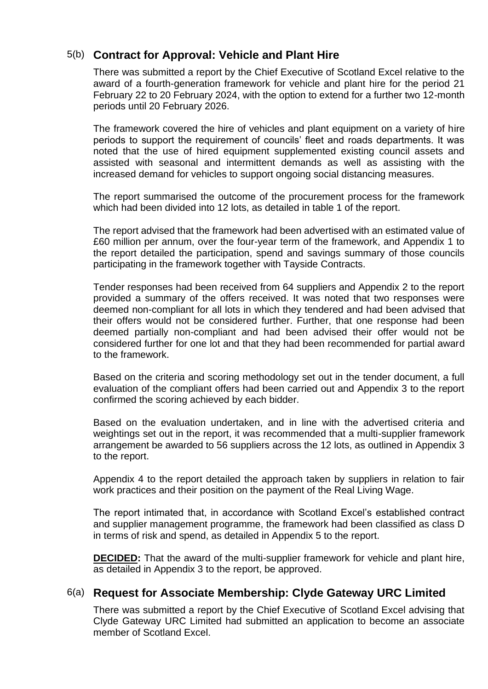# 5(b) **Contract for Approval: Vehicle and Plant Hire**

There was submitted a report by the Chief Executive of Scotland Excel relative to the award of a fourth-generation framework for vehicle and plant hire for the period 21 February 22 to 20 February 2024, with the option to extend for a further two 12-month periods until 20 February 2026.

The framework covered the hire of vehicles and plant equipment on a variety of hire periods to support the requirement of councils' fleet and roads departments. It was noted that the use of hired equipment supplemented existing council assets and assisted with seasonal and intermittent demands as well as assisting with the increased demand for vehicles to support ongoing social distancing measures.

The report summarised the outcome of the procurement process for the framework which had been divided into 12 lots, as detailed in table 1 of the report.

The report advised that the framework had been advertised with an estimated value of £60 million per annum, over the four-year term of the framework, and Appendix 1 to the report detailed the participation, spend and savings summary of those councils participating in the framework together with Tayside Contracts.

Tender responses had been received from 64 suppliers and Appendix 2 to the report provided a summary of the offers received. It was noted that two responses were deemed non-compliant for all lots in which they tendered and had been advised that their offers would not be considered further. Further, that one response had been deemed partially non-compliant and had been advised their offer would not be considered further for one lot and that they had been recommended for partial award to the framework.

Based on the criteria and scoring methodology set out in the tender document, a full evaluation of the compliant offers had been carried out and Appendix 3 to the report confirmed the scoring achieved by each bidder.

Based on the evaluation undertaken, and in line with the advertised criteria and weightings set out in the report, it was recommended that a multi-supplier framework arrangement be awarded to 56 suppliers across the 12 lots, as outlined in Appendix 3 to the report.

Appendix 4 to the report detailed the approach taken by suppliers in relation to fair work practices and their position on the payment of the Real Living Wage.

The report intimated that, in accordance with Scotland Excel's established contract and supplier management programme, the framework had been classified as class D in terms of risk and spend, as detailed in Appendix 5 to the report.

**DECIDED:** That the award of the multi-supplier framework for vehicle and plant hire, as detailed in Appendix 3 to the report, be approved.

# 6(a) **Request for Associate Membership: Clyde Gateway URC Limited**

There was submitted a report by the Chief Executive of Scotland Excel advising that Clyde Gateway URC Limited had submitted an application to become an associate member of Scotland Excel.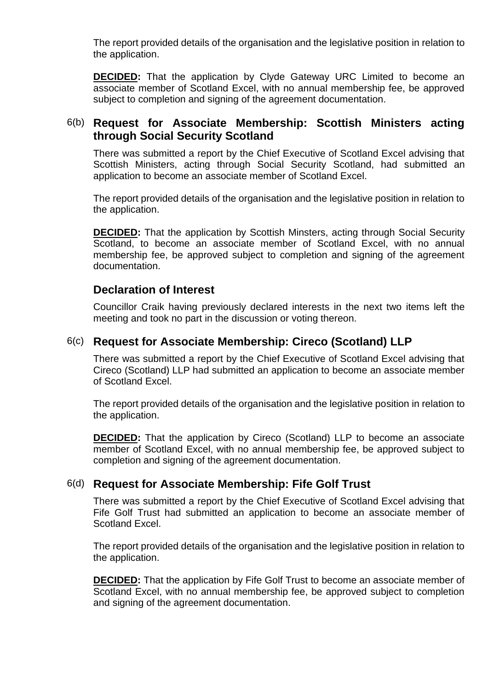The report provided details of the organisation and the legislative position in relation to the application.

**DECIDED:** That the application by Clyde Gateway URC Limited to become an associate member of Scotland Excel, with no annual membership fee, be approved subject to completion and signing of the agreement documentation.

# 6(b) **Request for Associate Membership: Scottish Ministers acting through Social Security Scotland**

There was submitted a report by the Chief Executive of Scotland Excel advising that Scottish Ministers, acting through Social Security Scotland, had submitted an application to become an associate member of Scotland Excel.

The report provided details of the organisation and the legislative position in relation to the application.

**DECIDED:** That the application by Scottish Minsters, acting through Social Security Scotland, to become an associate member of Scotland Excel, with no annual membership fee, be approved subject to completion and signing of the agreement documentation.

# **Declaration of Interest**

Councillor Craik having previously declared interests in the next two items left the meeting and took no part in the discussion or voting thereon.

# 6(c) **Request for Associate Membership: Cireco (Scotland) LLP**

There was submitted a report by the Chief Executive of Scotland Excel advising that Cireco (Scotland) LLP had submitted an application to become an associate member of Scotland Excel.

The report provided details of the organisation and the legislative position in relation to the application.

**DECIDED:** That the application by Cireco (Scotland) LLP to become an associate member of Scotland Excel, with no annual membership fee, be approved subject to completion and signing of the agreement documentation.

# 6(d) **Request for Associate Membership: Fife Golf Trust**

There was submitted a report by the Chief Executive of Scotland Excel advising that Fife Golf Trust had submitted an application to become an associate member of Scotland Excel.

The report provided details of the organisation and the legislative position in relation to the application.

**DECIDED:** That the application by Fife Golf Trust to become an associate member of Scotland Excel, with no annual membership fee, be approved subject to completion and signing of the agreement documentation.